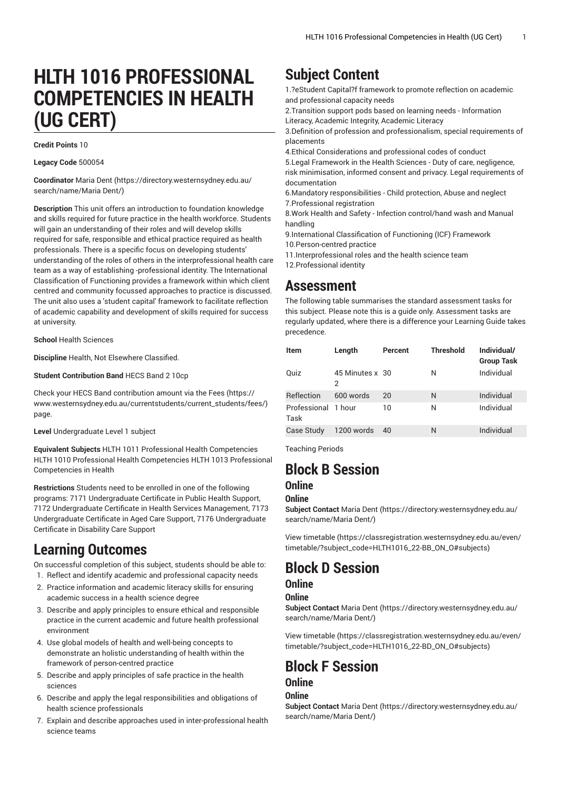# **HLTH 1016 PROFESSIONAL COMPETENCIES IN HEALTH (UG CERT)**

#### **Credit Points** 10

#### **Legacy Code** 500054

**Coordinator** [Maria Dent \(https://directory.westernsydney.edu.au/](https://directory.westernsydney.edu.au/search/name/Maria Dent/) [search/name/Maria](https://directory.westernsydney.edu.au/search/name/Maria Dent/) Dent/)

**Description** This unit offers an introduction to foundation knowledge and skills required for future practice in the health workforce. Students will gain an understanding of their roles and will develop skills required for safe, responsible and ethical practice required as health professionals. There is a specific focus on developing students' understanding of the roles of others in the interprofessional health care team as a way of establishing -professional identity. The International Classification of Functioning provides a framework within which client centred and community focussed approaches to practice is discussed. The unit also uses a 'student capital' framework to facilitate reflection of academic capability and development of skills required for success at university.

**School** Health Sciences

**Discipline** Health, Not Elsewhere Classified.

**Student Contribution Band** HECS Band 2 10cp

Check your HECS Band contribution amount via the [Fees \(https://](https://www.westernsydney.edu.au/currentstudents/current_students/fees/) [www.westernsydney.edu.au/currentstudents/current\\_students/fees/\)](https://www.westernsydney.edu.au/currentstudents/current_students/fees/) page.

**Level** Undergraduate Level 1 subject

**Equivalent Subjects** [HLTH](/search/?P=HLTH%201011) 1011 Professional Health Competencies [HLTH](/search/?P=HLTH%201010) 1010 Professional Health Competencies [HLTH](/search/?P=HLTH%201013) 1013 Professional Competencies in Health

**Restrictions** Students need to be enrolled in one of the following programs: 7171 Undergraduate Certificate in Public Health Support, 7172 Undergraduate Certificate in Health Services Management, 7173 Undergraduate Certificate in Aged Care Support, 7176 Undergraduate Certificate in Disability Care Support

## **Learning Outcomes**

On successful completion of this subject, students should be able to: 1. Reflect and identify academic and professional capacity needs

- 2. Practice information and academic literacy skills for ensuring academic success in a health science degree
- 3. Describe and apply principles to ensure ethical and responsible practice in the current academic and future health professional environment
- 4. Use global models of health and well-being concepts to demonstrate an holistic understanding of health within the framework of person-centred practice
- 5. Describe and apply principles of safe practice in the health sciences
- 6. Describe and apply the legal responsibilities and obligations of health science professionals
- 7. Explain and describe approaches used in inter-professional health science teams

## **Subject Content**

1.?eStudent Capital?f framework to promote reflection on academic and professional capacity needs

2.Transition support pods based on learning needs - Information Literacy, Academic Integrity, Academic Literacy

3.Definition of profession and professionalism, special requirements of placements

4.Ethical Considerations and professional codes of conduct

5.Legal Framework in the Health Sciences - Duty of care, negligence, risk minimisation, informed consent and privacy. Legal requirements of documentation

6.Mandatory responsibilities - Child protection, Abuse and neglect 7.Professional registration

8.Work Health and Safety - Infection control/hand wash and Manual handling

9.International Classification of Functioning (ICF) Framework 10.Person-centred practice

- 11.Interprofessional roles and the health science team
- 12.Professional identity

### **Assessment**

The following table summarises the standard assessment tasks for this subject. Please note this is a guide only. Assessment tasks are regularly updated, where there is a difference your Learning Guide takes precedence.

| <b>Item</b>                 | Length               | Percent | <b>Threshold</b> | Individual/<br><b>Group Task</b> |
|-----------------------------|----------------------|---------|------------------|----------------------------------|
| Quiz                        | 45 Minutes x 30<br>2 |         | N                | Individual                       |
| Reflection                  | 600 words            | 20      | N                | Individual                       |
| Professional 1 hour<br>Task |                      | 10      | N                | Individual                       |
| Case Study                  | 1200 words           | 40      | N                | Individual                       |

Teaching Periods

# **Block B Session**

### **Online**

#### **Online**

**Subject Contact** [Maria Dent](https://directory.westernsydney.edu.au/search/name/Maria Dent/) ([https://directory.westernsydney.edu.au/](https://directory.westernsydney.edu.au/search/name/Maria Dent/) [search/name/Maria](https://directory.westernsydney.edu.au/search/name/Maria Dent/) Dent/)

[View timetable](https://classregistration.westernsydney.edu.au/even/timetable/?subject_code=HLTH1016_22-BB_ON_O#subjects) [\(https://classregistration.westernsydney.edu.au/even/](https://classregistration.westernsydney.edu.au/even/timetable/?subject_code=HLTH1016_22-BB_ON_O#subjects) [timetable/?subject\\_code=HLTH1016\\_22-BB\\_ON\\_O#subjects\)](https://classregistration.westernsydney.edu.au/even/timetable/?subject_code=HLTH1016_22-BB_ON_O#subjects)

## **Block D Session**

#### **Online**

#### **Online**

**Subject Contact** [Maria Dent](https://directory.westernsydney.edu.au/search/name/Maria Dent/) ([https://directory.westernsydney.edu.au/](https://directory.westernsydney.edu.au/search/name/Maria Dent/) [search/name/Maria](https://directory.westernsydney.edu.au/search/name/Maria Dent/) Dent/)

[View timetable](https://classregistration.westernsydney.edu.au/even/timetable/?subject_code=HLTH1016_22-BD_ON_O#subjects) [\(https://classregistration.westernsydney.edu.au/even/](https://classregistration.westernsydney.edu.au/even/timetable/?subject_code=HLTH1016_22-BD_ON_O#subjects) [timetable/?subject\\_code=HLTH1016\\_22-BD\\_ON\\_O#subjects\)](https://classregistration.westernsydney.edu.au/even/timetable/?subject_code=HLTH1016_22-BD_ON_O#subjects)

# **Block F Session**

### **Online**

#### **Online**

**Subject Contact** [Maria Dent](https://directory.westernsydney.edu.au/search/name/Maria Dent/) ([https://directory.westernsydney.edu.au/](https://directory.westernsydney.edu.au/search/name/Maria Dent/) [search/name/Maria](https://directory.westernsydney.edu.au/search/name/Maria Dent/) Dent/)